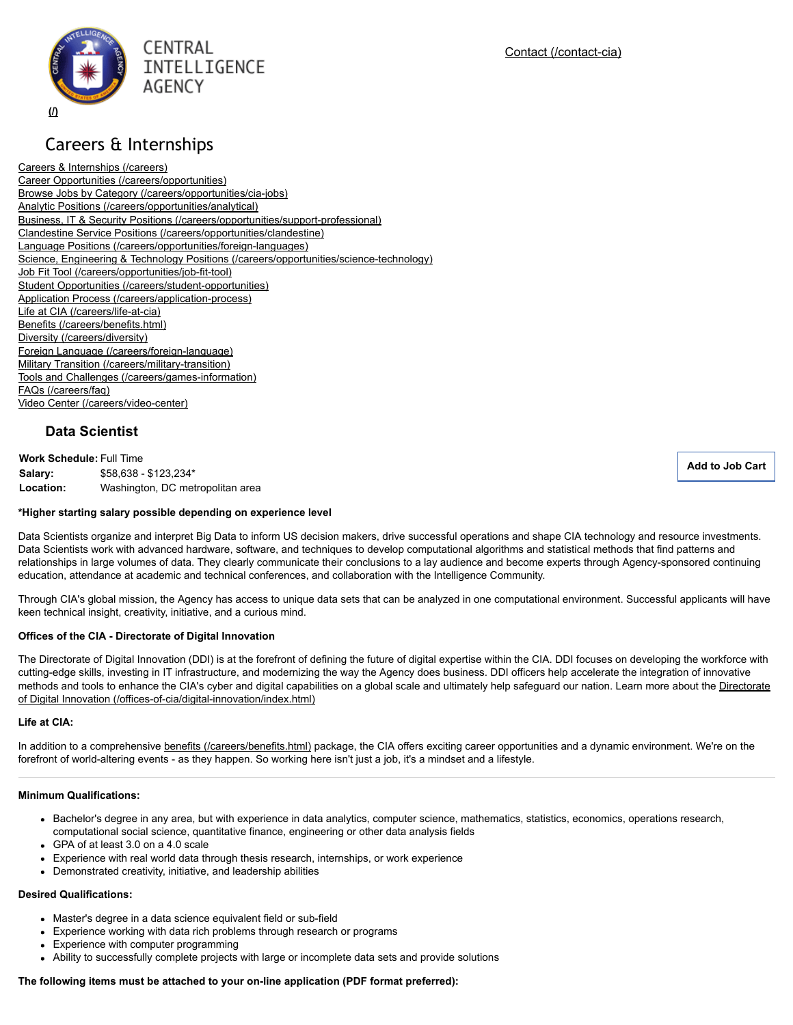

# Careers & Internships

Careers & [Internships](https://www.cia.gov/careers) (/careers) Career Opportunities [\(/careers/opportunities\)](https://www.cia.gov/careers/opportunities) Browse Jobs by Category (/careers/opportunities/cia-jobs) Analytic Positions [\(/careers/opportunities/analytical\)](https://www.cia.gov/careers/opportunities/analytical) Business, IT & Security Positions (/careers/opportunities/support-professional) Clandestine Service Positions [\(/careers/opportunities/clandestine\)](https://www.cia.gov/careers/opportunities/clandestine) Language Positions (/careers/opportunities/foreign-languages) Science, Engineering & Technology Positions (/careers/opportunities/science-technology) Job Fit Tool (/careers/opportunities/job-fit-tool) Student Opportunities (/careers/student-opportunities) Application Process (/careers/application-process) Life at CIA (/careers/life-at-cia) Benefits [\(/careers/benefits.html\)](https://www.cia.gov/careers/benefits.html) Diversity [\(/careers/diversity\)](https://www.cia.gov/careers/diversity) Foreign Language (/careers/foreign-language) Military Transition (/careers/military-transition) Tools and Challenges (/careers/games-information) FAQs [\(/careers/faq\)](https://www.cia.gov/careers/faq) Video Center (/careers/video-center)

# **Data Scientist**

**Work Schedule:** Full Time **Salary:** \$58,638 - \$123,234\* **Location:** Washington, DC metropolitan area

**Add to Job [Cart](javascript:;)**

#### **\*Higher starting salary possible depending on experience level**

Data Scientists organize and interpret Big Data to inform US decision makers, drive successful operations and shape CIA technology and resource investments. Data Scientists work with advanced hardware, software, and techniques to develop computational algorithms and statistical methods that find patterns and relationships in large volumes of data. They clearly communicate their conclusions to a lay audience and become experts through Agency-sponsored continuing education, attendance at academic and technical conferences, and collaboration with the Intelligence Community.

Through CIA's global mission, the Agency has access to unique data sets that can be analyzed in one computational environment. Successful applicants will have keen technical insight, creativity, initiative, and a curious mind.

#### **Offices of the CIA Directorate of Digital Innovation**

The Directorate of Digital Innovation (DDI) is at the forefront of defining the future of digital expertise within the CIA. DDI focuses on developing the workforce with cutting-edge skills, investing in IT infrastructure, and modernizing the way the Agency does business. DDI officers help accelerate the integration of innovative methods and tools to enhance the CIA's cyber and digital capabilities on a global scale and ultimately help safeguard our nation. Learn more about the Directorate of Digital Innovation (/offices-of-cia/digital-innovation/index.html)

#### **Life at CIA:**

In addition to a comprehensive benefits [\(/careers/benefits.html\)](https://www.cia.gov/careers/benefits.html) package, the CIA offers exciting career opportunities and a dynamic environment. We're on the forefront of world-altering events - as they happen. So working here isn't just a job, it's a mindset and a lifestyle.

#### **Minimum Qualifications:**

- Bachelor's degree in any area, but with experience in data analytics, computer science, mathematics, statistics, economics, operations research, computational social science, quantitative finance, engineering or other data analysis fields
- GPA of at least  $3.0$  on a  $4.0$  scale
- Experience with real world data through thesis research, internships, or work experience
- Demonstrated creativity, initiative, and leadership abilities

#### **Desired Qualifications:**

- Master's degree in a data science equivalent field or sub-field
- Experience working with data rich problems through research or programs
- Experience with computer programming
- Ability to successfully complete projects with large or incomplete data sets and provide solutions

#### **The following items must be attached to your online application (PDF format preferred):**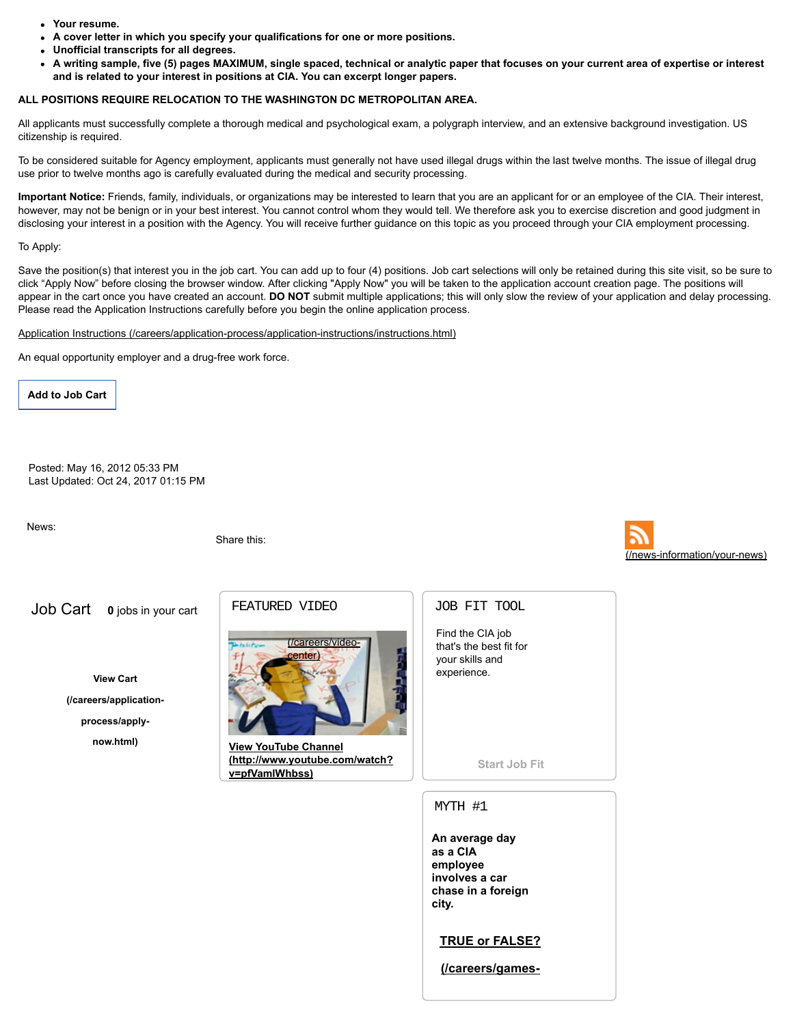- **Your resume.**
- **A cover letter in which you specify your qualifications for one or more positions.**
- **Unofficial transcripts for all degrees.**
- A writing sample, five (5) pages MAXIMUM, single spaced, technical or analytic paper that focuses on your current area of expertise or interest **and is related to your interest in positions at CIA. You can excerpt longer papers.**

## **ALL POSITIONS REQUIRE RELOCATION TO THE WASHINGTON DC METROPOLITAN AREA.**

All applicants must successfully complete a thorough medical and psychological exam, a polygraph interview, and an extensive background investigation. US citizenship is required.

To be considered suitable for Agency employment, applicants must generally not have used illegal drugs within the last twelve months. The issue of illegal drug use prior to twelve months ago is carefully evaluated during the medical and security processing.

**Important Notice:** Friends, family, individuals, or organizations may be interested to learn that you are an applicant for or an employee of the CIA. Their interest, however, may not be benign or in your best interest. You cannot control whom they would tell. We therefore ask you to exercise discretion and good judgment in disclosing your interest in a position with the Agency. You will receive further guidance on this topic as you proceed through your CIA employment processing.

#### To Apply:

Save the position(s) that interest you in the job cart. You can add up to four (4) positions. Job cart selections will only be retained during this site visit, so be sure to click "Apply Now" before closing the browser window. After clicking "Apply Now" you will be taken to the application account creation page. The positions will appear in the cart once you have created an account. **DO NOT** submit multiple applications; this will only slow the review of your application and delay processing. Please read the Application Instructions carefully before you begin the online application process.

#### Application Instructions (/careers/application-process/application-instructions/instructions.html)

An equal opportunity employer and a drug-free work force.

**Add to Job [Cart](javascript:;)**

Posted: May 16, 2012 05:33 PM Last Updated: Oct 24, 2017 01:15 PM

News:

Share this:



Job Cart **0** jobs in your cart

**View Cart**

**[\(/careers/application-](https://www.cia.gov/careers/application-process/apply-now.html)**

**process/apply-**

**now.html)**

# FEATURED VIDEO



**View YouTube Channel [\(http://www.youtube.com/watch?](http://www.youtube.com/watch?v=pfVamlWhbss) v=pfVamlWhbss)**

### JOB FIT TOOL

Find the CIA job that's the best fit for your skills and experience.

**[Start](https://www.cia.gov/careers/opportunities/job-fit-tool/job-fit-tool.html) Job Fit**

### MYTH #1

**An average day as a CIA employee involves a car chase in a foreign city.**

**TRUE or FALSE?**

**[\(/careers/games](https://www.cia.gov/careers/games-information/myths?myth=1)**